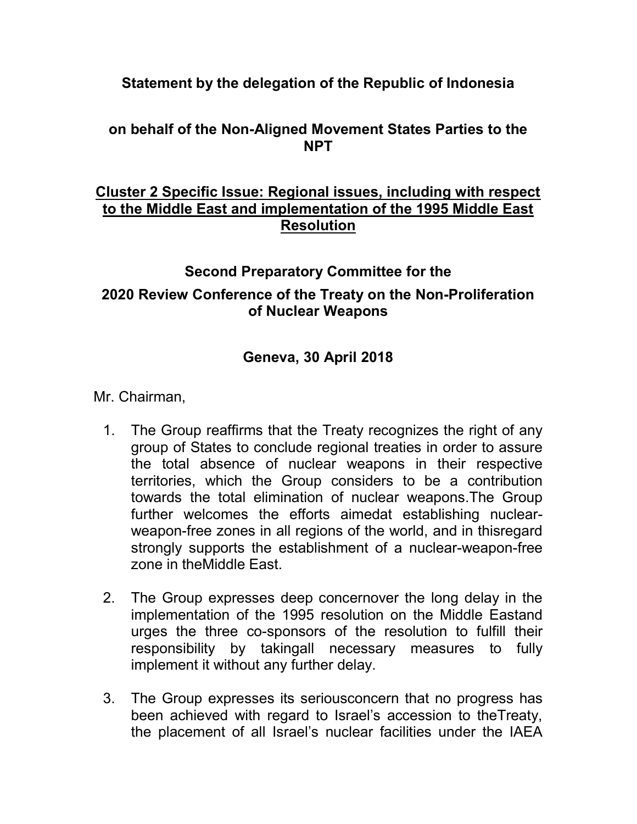## Statement by the delegation of the Republic of Indonesia

# on behalf of the Non-Aligned Movement States Parties to the NPT

### Cluster 2 Specific Issue: Regional issues, including with respect to the Middle East and implementation of the 1995 Middle East Resolution

### Second Preparatory Committee for the

### 2020 Review Conference of the Treaty on the Non-Proliferation of Nuclear Weapons

# Geneva, 30 April 2018

Mr. Chairman,

- 1. The Group reaffirms that the Treaty recognizes the right of any group of States to conclude regional treaties in order to assure the total absence of nuclear weapons in their respective territories, which the Group considers to be a contribution towards the total elimination of nuclear weapons.The Group further welcomes the efforts aimedat establishing nuclearweapon-free zones in all regions of the world, and in thisregard strongly supports the establishment of a nuclear-weapon-free zone in theMiddle East.
- 2. The Group expresses deep concernover the long delay in the implementation of the 1995 resolution on the Middle Eastand urges the three co-sponsors of the resolution to fulfill their responsibility by takingall necessary measures to fully implement it without any further delay.
- 3. The Group expresses its seriousconcern that no progress has been achieved with regard to Israel's accession to theTreaty, the placement of all Israel's nuclear facilities under the IAEA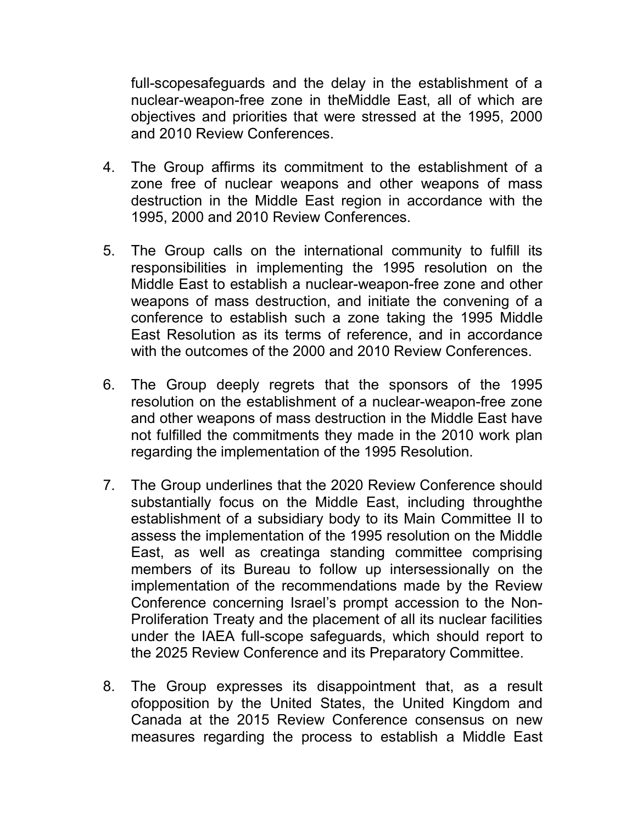full-scopesafeguards and the delay in the establishment of a nuclear-weapon-free zone in theMiddle East, all of which are objectives and priorities that were stressed at the 1995, 2000 and 2010 Review Conferences.

- 4. The Group affirms its commitment to the establishment of a zone free of nuclear weapons and other weapons of mass destruction in the Middle East region in accordance with the 1995, 2000 and 2010 Review Conferences.
- 5. The Group calls on the international community to fulfill its responsibilities in implementing the 1995 resolution on the Middle East to establish a nuclear-weapon-free zone and other weapons of mass destruction, and initiate the convening of a conference to establish such a zone taking the 1995 Middle East Resolution as its terms of reference, and in accordance with the outcomes of the 2000 and 2010 Review Conferences.
- 6. The Group deeply regrets that the sponsors of the 1995 resolution on the establishment of a nuclear-weapon-free zone and other weapons of mass destruction in the Middle East have not fulfilled the commitments they made in the 2010 work plan regarding the implementation of the 1995 Resolution.
- 7. The Group underlines that the 2020 Review Conference should substantially focus on the Middle East, including throughthe establishment of a subsidiary body to its Main Committee II to assess the implementation of the 1995 resolution on the Middle East, as well as creatinga standing committee comprising members of its Bureau to follow up intersessionally on the implementation of the recommendations made by the Review Conference concerning Israel's prompt accession to the Non-Proliferation Treaty and the placement of all its nuclear facilities under the IAEA full-scope safeguards, which should report to the 2025 Review Conference and its Preparatory Committee.
- 8. The Group expresses its disappointment that, as a result ofopposition by the United States, the United Kingdom and Canada at the 2015 Review Conference consensus on new measures regarding the process to establish a Middle East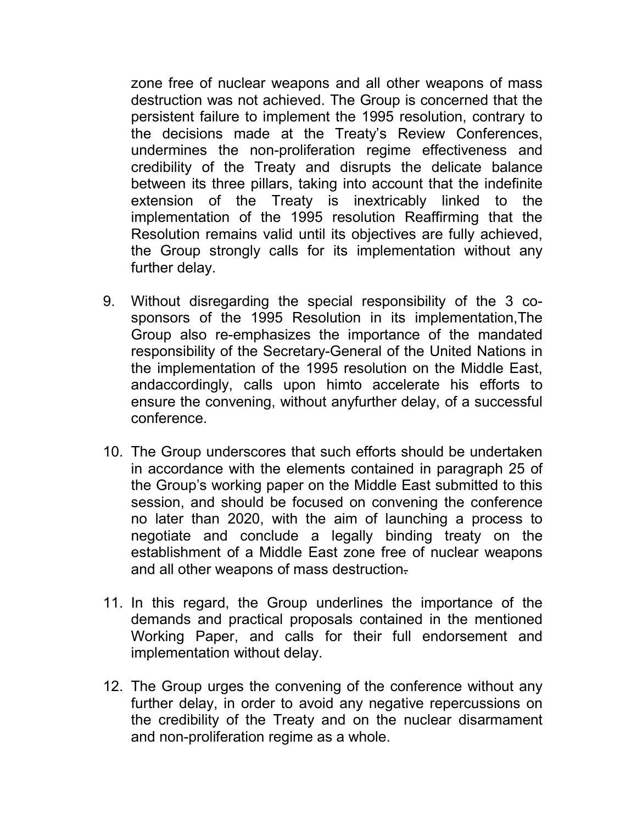zone free of nuclear weapons and all other weapons of mass destruction was not achieved. The Group is concerned that the persistent failure to implement the 1995 resolution, contrary to the decisions made at the Treaty's Review Conferences, undermines the non-proliferation regime effectiveness and credibility of the Treaty and disrupts the delicate balance between its three pillars, taking into account that the indefinite extension of the Treaty is inextricably linked to the implementation of the 1995 resolution Reaffirming that the Resolution remains valid until its objectives are fully achieved, the Group strongly calls for its implementation without any further delay.

- 9. Without disregarding the special responsibility of the 3 cosponsors of the 1995 Resolution in its implementation,The Group also re-emphasizes the importance of the mandated responsibility of the Secretary-General of the United Nations in the implementation of the 1995 resolution on the Middle East, andaccordingly, calls upon himto accelerate his efforts to ensure the convening, without anyfurther delay, of a successful conference.
- 10. The Group underscores that such efforts should be undertaken in accordance with the elements contained in paragraph 25 of the Group's working paper on the Middle East submitted to this session, and should be focused on convening the conference no later than 2020, with the aim of launching a process to negotiate and conclude a legally binding treaty on the establishment of a Middle East zone free of nuclear weapons and all other weapons of mass destruction-
- 11. In this regard, the Group underlines the importance of the demands and practical proposals contained in the mentioned Working Paper, and calls for their full endorsement and implementation without delay.
- 12. The Group urges the convening of the conference without any further delay, in order to avoid any negative repercussions on the credibility of the Treaty and on the nuclear disarmament and non-proliferation regime as a whole.